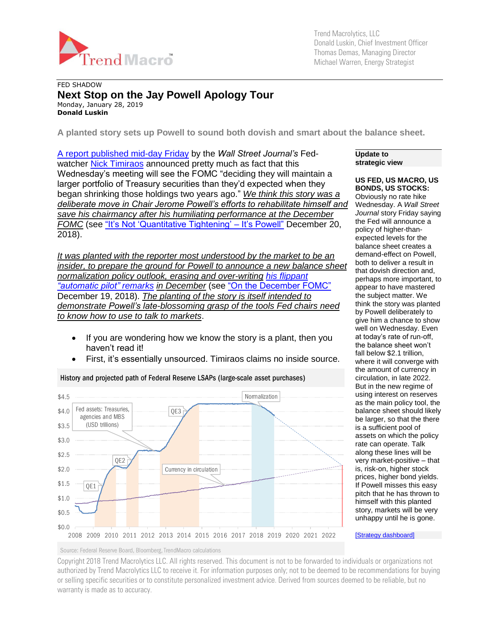

Trend Macrolytics, LLC Donald Luskin, Chief Investment Officer Thomas Demas, Managing Director Michael Warren, Energy Strategist

## FED SHADOW **Next Stop on the Jay Powell Apology Tour** Monday, January 28, 2019 **Donald Luskin**

**A planted story sets up Powell to sound both dovish and smart about the balance sheet.**

[A report published mid-day Friday](https://www.wsj.com/articles/fed-officials-weigh-earlier-than-expected-end-to-bond-portfolio-runoff-11548412201) by the *Wall Street Journal's* Fed-watcher [Nick Timiraos](http://www.wsj.com/news/author/5585) announced pretty much as fact that this Wednesday's meeting will see the FOMC "deciding they will maintain a larger portfolio of Treasury securities than they'd expected when they began shrinking those holdings two years ago." *We think this story was a deliberate move in Chair Jerome Powell's efforts to rehabilitate himself and save his chairmancy after his humiliating performance at the December FOMC* (see ["It's Not 'Quantitative Tightening' –](https://tmac.ro/2PS8ffE) It's Powell" December 20, 2018).

*It was planted with the reporter most understood by the market to be an insider, to prepare the ground for Powell to announce a new balance sheet normalization policy outlook, erasing and over-writing his flippant ["automatic pilot" remarks](https://www.federalreserve.gov/mediacenter/files/FOMCpresconf20181219.pdf) in December* (see ["On the December FOMC"](https://tmac.ro/2LmxB4o) December 19, 2018). *The planting of the story is itself intended to demonstrate Powell's late-blossoming grasp of the tools Fed chairs need to know how to use to talk to markets*.

- If you are wondering how we know the story is a plant, then you haven't read it!
- First, it's essentially unsourced. Timiraos claims no inside source.



History and projected path of Federal Reserve LSAPs (large-scale asset purchases)

#### **Update to strategic view**

### **US FED, US MACRO, US BONDS, US STOCKS:**

Obviously no rate hike Wednesday. A *Wall Street Journal* story Friday saying the Fed will announce a policy of higher-thanexpected levels for the balance sheet creates a demand-effect on Powell, both to deliver a result in that dovish direction and, [perhaps more important, to](https://www.federalreserve.gov/mediacenter/files/FOMCpresconf20181219.pdf)  appear to have mastered the subject matter. We think the story was planted by Powell deliberately to give him a chance to show well on Wednesday. Even at today's rate of run-off, the balance sheet won't fall below \$2.1 trillion, where it will converge with the amount of currency in circulation, in late 2022. But in the new regime of using interest on reserves as the main policy tool, the balance sheet should likely be larger, so that the there is a sufficient pool of assets on which the policy rate can operate. Talk along these lines will be very market-positive – that is, risk-on, higher stock prices, higher bond yields. If Powell misses this easy pitch that he has thrown to himself with this planted story, markets will be very unhappy until he is gone.

[\[Strategy dashboard\]](http://trendmacro.com/strategy)

Source: Federal Reserve Board, Bloomberg, TrendMacro calculations

Copyright 2018 Trend Macrolytics LLC. All rights reserved. This document is not to be forwarded to individuals or organizations not authorized by Trend Macrolytics LLC to receive it. For information purposes only; not to be deemed to be recommendations for buying or selling specific securities or to constitute personalized investment advice. Derived from sources deemed to be reliable, but no warranty is made as to accuracy.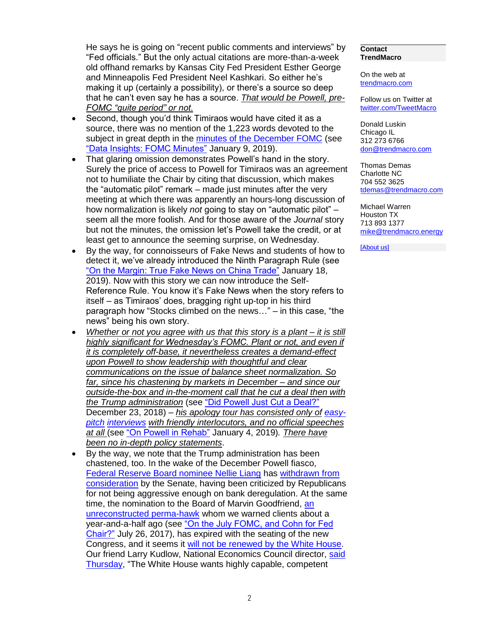He says he is going on "recent public comments and interviews" by "Fed officials." But the only actual citations are more-than-a-week old offhand remarks by Kansas City Fed President Esther George and Minneapolis Fed President Neel Kashkari. So either he's making it up (certainly a possibility), or there's a source so deep that he can't even say he has a source. *That would be Powell, pre-FOMC "quite period" or not.*

- Second, though you'd think Timiraos would have cited it as a source, there was no mention of the 1,223 words devoted to the subject in great depth in the [minutes of the December FOMC](https://www.federalreserve.gov/monetarypolicy/fomcminutes20181219.htm) (see ["Data Insights: FOMC Minutes"](https://tmac.ro/2RDrdvb) January 9, 2019).
- That glaring omission demonstrates Powell's hand in the story. Surely the price of access to Powell for Timiraos was an agreement not to humiliate the Chair by citing that discussion, which makes the "automatic pilot" remark – made just minutes after the very meeting at which there was apparently an hours-long discussion of how normalization is likely *not* going to stay on "automatic pilot" – seem all the more foolish. And for those aware of the *Journal* story but not the minutes, the omission let's Powell take the credit, or at least get to announce the seeming surprise, on Wednesday.
- By the way, for connoisseurs of Fake News and students of how to detect it, we've already introduced the Ninth Paragraph Rule (see ["On the Margin: True Fake News on China Trade"](https://tmac.ro/2QWO94e) January 18, 2019). Now with this story we can now introduce the Self-Reference Rule. You know it's Fake News when the story refers to itself – as Timiraos' does, bragging right up-top in his third paragraph how "Stocks climbed on the news…" – in this case, "the news" being his own story.
- *Whether or not you agree with us that this story is a plant – it is still highly significant for Wednesday's FOMC. Plant or not, and even if it is completely off-base, it nevertheless creates a demand-effect upon Powell to show leadership with thoughtful and clear communications on the issue of balance sheet normalization. So far, since his chastening by markets in December – and since our outside-the-box and in-the-moment call that he cut a deal then with the Trump administration* (see ["Did Powell Just Cut a Deal?"](https://tmac.ro/2EHbd4u) December 23, 2018) – *his apology tour has consisted only of [easy](https://www.dropbox.com/s/hsbi45hahmuvz9c/20190104aeaInterview.pdf?dl=0)[pitch](https://www.dropbox.com/s/hsbi45hahmuvz9c/20190104aeaInterview.pdf?dl=0) [interviews](https://www.youtube.com/watch?v=9WFLNKcfGaM&feature=youtu.be) with friendly interlocutors, and no official speeches at all* (see ["On Powell in Rehab"](https://tmac.ro/2AwUjTd) January 4, 2019)*. There have been no in-depth policy statements*.
- By the way, we note that the Trump administration has been chastened, too. In the wake of the December Powell fiasco, [Federal Reserve Board nominee Nellie Liang](https://www.bloomberg.com/news/articles/2018-09-19/trump-to-nominate-nellie-liang-to-fed-board-white-house-says) has [withdrawn from](https://www.wsj.com/articles/nellie-liang-withdraws-from-consideration-for-fed-board-seat-11546909021?mod=searchresults&page=1&pos=12)  [consideration](https://www.wsj.com/articles/nellie-liang-withdraws-from-consideration-for-fed-board-seat-11546909021?mod=searchresults&page=1&pos=12) by the Senate, having been criticized by Republicans for not being aggressive enough on bank deregulation. At the same time, the nomination to the Board of Marvin Goodfriend, an [unreconstructed perma-hawk](https://www.nytimes.com/2018/01/23/us/politics/fed-nominee-is-asked-why-he-erred-in-forecasting-inflation-he-didnt-answer.html) whom we warned clients about a year-and-a-half ago (see ["On the July FOMC, and Cohn for Fed](http://tmac.ro/2uX9oM5)  [Chair?"](http://tmac.ro/2uX9oM5) July 26, 2017), has expired with the seating of the new Congress, and it seems it [will not be renewed by the White House.](https://www.bloomberg.com/news/articles/2019-01-17/trump-is-said-to-weigh-whether-to-renominate-goodfriend-to-fed) Our friend Larry Kudlow, National Economics Council director, [said](https://www.wsj.com/articles/white-house-adviser-says-fed-board-nominees-should-support-easy-money-policies-11548375931?mod=article_inline)  [Thursday,](https://www.wsj.com/articles/white-house-adviser-says-fed-board-nominees-should-support-easy-money-policies-11548375931?mod=article_inline) "The White House wants highly capable, competent

#### **Contact TrendMacro**

On the web at [trendmacro.com](http://www.trendmacro.com/)

Follow us on Twitter at [twitter.com/TweetMacro](https://twitter.com/#!/TweetMacro)

Donald Luskin Chicago IL 312 273 6766 [don@trendmacro.com](mailto:don@trendmacro.com)

Thomas Demas Charlotte NC 704 552 3625 [tdemas@trendmacro.com](mailto:tdemas@trendmacro.com)

Michael Warren Houston TX 713 893 1377 [mike@trendmacro.energy](mailto:mike@trendmacro.energy)

[\[About us\]](http://trendmacro.com/about/what-we-do)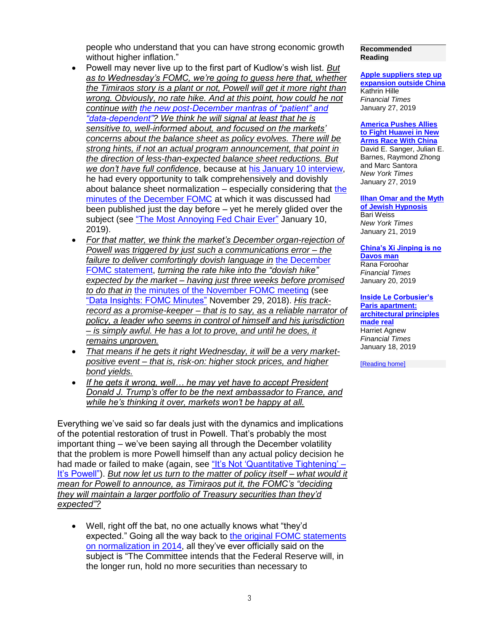people who understand that you can have strong economic growth without higher inflation."

- Powell may never live up to the first part of Kudlow's wish list. *But as to Wednesday's FOMC, we're going to guess here that, whether the Timiraos story is a plant or not, Powell will get it more right than wrong. Obviously, no rate hike. And at this point, how could he not continue with [the new post-December mantras of "patient" and](https://www.bloomberg.com/news/articles/2019-01-18/williams-says-fed-should-be-patient-about-any-further-tightening)  ["data-dependent"?](https://www.bloomberg.com/news/articles/2019-01-18/williams-says-fed-should-be-patient-about-any-further-tightening) We think he will signal at least that he is sensitive to, well-informed about, and focused on the markets' concerns about the balance sheet as policy evolves. There will be strong hints, if not an actual program announcement, that point in the direction of less-than-expected balance sheet reductions. But we don't have full confidence*, because at [his January 10 interview,](https://www.youtube.com/watch?v=9WFLNKcfGaM&feature=youtu.be) he had every opportunity to talk comprehensively and dovishly about balance sheet normalization – especially considering that [the](https://www.federalreserve.gov/monetarypolicy/fomcminutes20181219.htm)  [minutes of the December FOMC](https://www.federalreserve.gov/monetarypolicy/fomcminutes20181219.htm) at which it was discussed had been published just the day before – yet he merely glided over the subject (see ["The Most Annoying Fed Chair Ever"](https://tmac.ro/2Rhnu7c) January 10, 2019).
- *For that matter, we think the market's December organ-rejection of Powell was triggered by just such a communications error – the failure to deliver comfortingly dovish language in* [the December](https://www.federalreserve.gov/newsevents/pressreleases/monetary20181219a.htm)  [FOMC statement,](https://www.federalreserve.gov/newsevents/pressreleases/monetary20181219a.htm) *turning the rate hike into the "dovish hike" expected by the market – having just three weeks before promised to do that in* [the minutes of the November FOMC meeting](https://www.federalreserve.gov/monetarypolicy/fomcminutes20181108.htm) (see ["Data Insights: FOMC Minutes"](https://tmac.ro/2E0sTIQ) November 29, 2018). *His trackrecord as a promise-keeper – that is to say, as a reliable narrator of policy, a leader who seems in control of himself and his jurisdiction – is simply awful. He has a lot to prove, and until he does, it remains unproven.*
- *That means if he gets it right Wednesday, it will be a very marketpositive event – that is, risk-on: higher stock prices, and higher bond yields.*
- *If he gets it wrong, well… he may yet have to accept President Donald J. Trump's offer to be the next ambassador to France, and while he's thinking it over, markets won't be happy at all.*

Everything we've said so far deals just with the dynamics and implications of the potential restoration of trust in Powell. That's probably the most important thing – we've been saying all through the December volatility that the problem is more Powell himself than any actual policy decision he had made or failed to make (again, see ["It's Not 'Quantitative Tightening' –](https://tmac.ro/2PS8ffE) [It's Powell"\)](https://tmac.ro/2PS8ffE). *But now let us turn to the matter of policy itself – what would it mean for Powell to announce, as Timiraos put it, the FOMC's "deciding they will maintain a larger portfolio of Treasury securities than they'd expected"?*

• Well, right off the bat, no one actually knows what "they'd expected." Going all the way back to the original FOMC statements [on normalization in 2014,](http://www.federalreserve.gov/newsevents/press/monetary/20140917c.htm) all they've ever officially said on the subject is "The Committee intends that the Federal Reserve will, in the longer run, hold no more securities than necessary to

#### **Recommended Reading**

**[Apple suppliers step up](https://www.ft.com/content/a9a2477e-221d-11e9-8ce6-5db4543da632)  [expansion outside China](https://www.ft.com/content/a9a2477e-221d-11e9-8ce6-5db4543da632)** Kathrin Hille *Financial Times* January 27, 2019

**[America Pushes Allies](https://www.nytimes.com/2019/01/26/us/politics/huawei-china-us-5g-technology.html)  [to Fight Huawei in New](https://www.nytimes.com/2019/01/26/us/politics/huawei-china-us-5g-technology.html)  [Arms Race With China](https://www.nytimes.com/2019/01/26/us/politics/huawei-china-us-5g-technology.html)** David E. Sanger, Julian E. Barnes, Raymond Zhong

and Marc Santora *New York Times* January 27, 2019 **[Ilhan Omar and the Myth](https://www.nytimes.com/2019/01/21/opinion/ilhan-omar-israel-jews.html)** 

**[of Jewish Hypnosis](https://www.nytimes.com/2019/01/21/opinion/ilhan-omar-israel-jews.html)** Bari Weiss *New York Times* January 21, 2019

**[China's Xi Jinping is no](https://www.ft.com/content/84261604-1b26-11e9-9e64-d150b3105d21)  [Davos man](https://www.ft.com/content/84261604-1b26-11e9-9e64-d150b3105d21)** Rana Foroohar *Financial Times* January 20, 2019

**[Inside Le Corbusier's](https://www.ft.com/content/f6c8fd3c-020f-11e9-9d01-cd4d49afbbe3)  [Paris apartment:](https://www.ft.com/content/f6c8fd3c-020f-11e9-9d01-cd4d49afbbe3)  [architectural principles](https://www.ft.com/content/f6c8fd3c-020f-11e9-9d01-cd4d49afbbe3)  [made real](https://www.ft.com/content/f6c8fd3c-020f-11e9-9d01-cd4d49afbbe3)** Harriet Agnew *Financial Times* January 18, 2019

[\[Reading home\]](http://trendmacro.com/recommended-reading)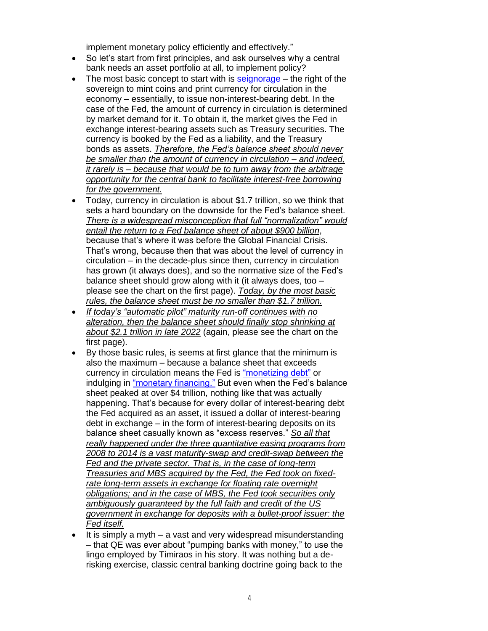implement monetary policy efficiently and effectively."

- So let's start from first principles, and ask ourselves why a central bank needs an asset portfolio at all, to implement policy?
- The most basic concept to start with is  $seignorage the right of the$ sovereign to mint coins and print currency for circulation in the economy – essentially, to issue non-interest-bearing debt. In the case of the Fed, the amount of currency in circulation is determined by market demand for it. To obtain it, the market gives the Fed in exchange interest-bearing assets such as Treasury securities. The currency is booked by the Fed as a liability, and the Treasury bonds as assets. *Therefore, the Fed's balance sheet should never be smaller than the amount of currency in circulation – and indeed, it rarely is – because that would be to turn away from the arbitrage opportunity for the central bank to facilitate interest-free borrowing for the government.*
- Today, currency in circulation is about \$1.7 trillion, so we think that sets a hard boundary on the downside for the Fed's balance sheet. *There is a widespread misconception that full "normalization" would entail the return to a Fed balance sheet of about \$900 billion*, because that's where it was before the Global Financial Crisis. That's wrong, because then that was about the level of currency in circulation – in the decade-plus since then, currency in circulation has grown (it always does), and so the normative size of the Fed's balance sheet should grow along with it (it always does, too – please see the chart on the first page). *Today, by the most basic rules, the balance sheet must be no smaller than \$1.7 trillion.*
- *If today's "automatic pilot" maturity run-off continues with no alteration, then the balance sheet should finally stop shrinking at about \$2.1 trillion in late 2022* (again, please see the chart on the first page).
- By those basic rules, is seems at first glance that the minimum is also the maximum – because a balance sheet that exceeds currency in circulation means the Fed is ["monetizing debt"](https://en.wikipedia.org/wiki/Monetization#Debt_monetization) or indulging in ["monetary financing."](https://sovereignmoney.eu/monetary-financing/) But even when the Fed's balance sheet peaked at over \$4 trillion, nothing like that was actually happening. That's because for every dollar of interest-bearing debt the Fed acquired as an asset, it issued a dollar of interest-bearing debt in exchange – in the form of interest-bearing deposits on its balance sheet casually known as "excess reserves." *So all that really happened under the three quantitative easing programs from 2008 to 2014 is a vast maturity-swap and credit-swap between the Fed and the private sector. That is, in the case of long-term Treasuries and MBS acquired by the Fed, the Fed took on fixedrate long-term assets in exchange for floating rate overnight obligations; and in the case of MBS, the Fed took securities only ambiguously guaranteed by the full faith and credit of the US government in exchange for deposits with a bullet-proof issuer: the Fed itself.*
- It is simply a myth  $-$  a vast and very widespread misunderstanding – that QE was ever about "pumping banks with money," to use the lingo employed by Timiraos in his story. It was nothing but a derisking exercise, classic central banking doctrine going back to the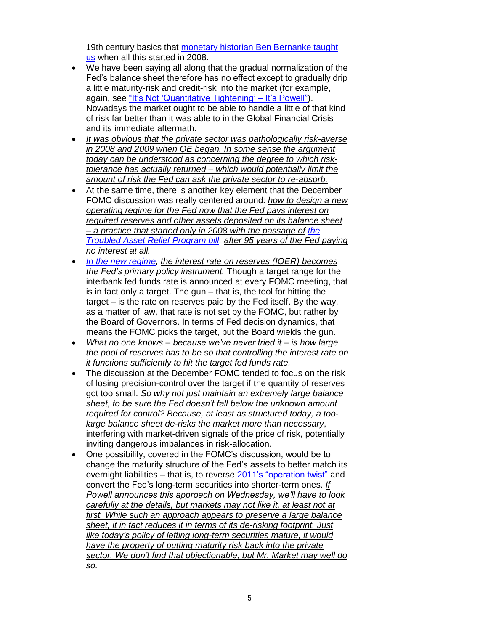19th century basics that [monetary historian Ben Bernanke taught](https://www.federalreserve.gov/newsevents/speech/bernanke20080513.htm)  [us](https://www.federalreserve.gov/newsevents/speech/bernanke20080513.htm) when all this started in 2008.

- We have been saying all along that the gradual normalization of the Fed's balance sheet therefore has no effect except to gradually drip a little maturity-risk and credit-risk into the market (for example, again, see ["It's Not 'Quantitative Tightening' –](https://tmac.ro/2PS8ffE) It's Powell"). Nowadays the market ought to be able to handle a little of that kind of risk far better than it was able to in the Global Financial Crisis and its immediate aftermath.
- *It was obvious that the private sector was pathologically risk-averse in 2008 and 2009 when QE began. In some sense the argument today can be understood as concerning the degree to which risktolerance has actually returned – which would potentially limit the amount of risk the Fed can ask the private sector to re-absorb.*
- At the same time, there is another key element that the December FOMC discussion was really centered around: *how to design a new operating regime for the Fed now that the Fed pays interest on required reserves and other assets deposited on its balance sheet – a practice that started only in 2008 with the passage of [the](https://www.gpo.gov/fdsys/pkg/PLAW-110publ343/html/PLAW-110publ343.htm)  [Troubled Asset Relief Program bill,](https://www.gpo.gov/fdsys/pkg/PLAW-110publ343/html/PLAW-110publ343.htm) after 95 years of the Fed paying no interest at all.*
- *[In the new regime,](http://www.federalreserve.gov/newsevents/press/monetary/20140917c.htm) the interest rate on reserves (IOER) becomes the Fed's primary policy instrument.* Though a target range for the interbank fed funds rate is announced at every FOMC meeting, that is in fact only a target. The gun – that is, the tool for hitting the target – is the rate on reserves paid by the Fed itself. By the way, as a matter of law, that rate is not set by the FOMC, but rather by the Board of Governors. In terms of Fed decision dynamics, that means the FOMC picks the target, but the Board wields the gun.
- *What no one knows – because we've never tried it – is how large the pool of reserves has to be so that controlling the interest rate on it functions sufficiently to hit the target fed funds rate.*
- The discussion at the December FOMC tended to focus on the risk of losing precision-control over the target if the quantity of reserves got too small. *So why not just maintain an extremely large balance sheet, to be sure the Fed doesn't fall below the unknown amount required for control? Because, at least as structured today, a toolarge balance sheet de-risks the market more than necessary*, interfering with market-driven signals of the price of risk, potentially inviting dangerous imbalances in risk-allocation.
- One possibility, covered in the FOMC's discussion, would be to change the maturity structure of the Fed's assets to better match its overnight liabilities – that is, to reverse [2011's "operation twist"](https://www.federalreserve.gov/newsevents/pressreleases/monetary20110921a.htm) and convert the Fed's long-term securities into shorter-term ones. *If Powell announces this approach on Wednesday, we'll have to look carefully at the details, but markets may not like it, at least not at first. While such an approach appears to preserve a large balance sheet, it in fact reduces it in terms of its de-risking footprint. Just like today's policy of letting long-term securities mature, it would have the property of putting maturity risk back into the private sector. We don't find that objectionable, but Mr. Market may well do so.*